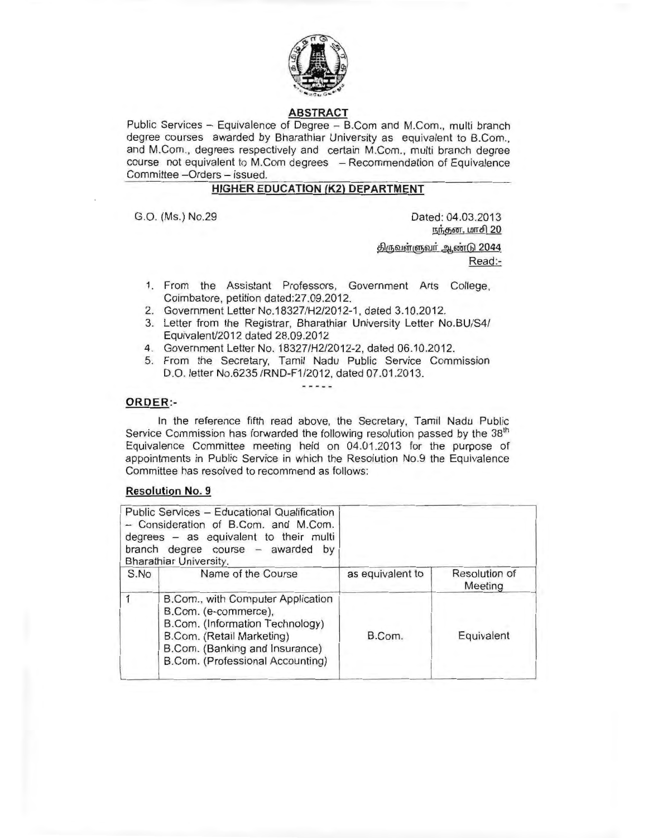

# **ABSTRACT**

Public Services - Equivalence of Degree - B.Com and M.Com., multi branch degree courses awarded by Bharathiar University as equivalent to B.Com., and M.Com., degrees respectively and certain M.Com., multi branch degree course not equivalent to M.Com degrees - Recommendation of Equivalence Committee -Orders - issued.

## **HIGHER EDUCATION (K2) DEPARTMENT**

G.O. (Ms.) No.29 Dated: 04.03.2013 நந்தன, மாசி 20

> <u>திருவள்ளுவர் ஆண்டு 2044</u> Read:-

- 1. From the Assistant Professors, Government Arts College, Coimbatore, petition dated:27.09.2012.
- 2. Government Letter No.18327/H2/2012-1, dated 3.10.2012.
- 3. Letter from the Registrar, Bharathiar University Letter No.BU/S4/ Equivalent/2012 dated 28.09.2012
- 4. Government Letter No. 18327/H2/2012-2, dated 06.10.2012.
- 5. From the Secretary, Tamil Nadu Public Service Commission D.O. letter No.6235 /RND-F1/2012, dated 07.01.2013. -----

### **ORDER :-**

In the reference fifth read above, the Secretary, Tamil Nadu Public Service Commission has forwarded the following resolution passed by the 38<sup>th</sup> Equivalence Committee meeting held on 04.01 .2013 for the purpose of appointments in Public Service in which the Resolution No.9 the Equivalence Committee has resolved to recommend as follows:

### **Resolution No. 9**

|      | Public Services - Educational Qualification<br>- Consideration of B.Com. and M.Com.<br>degrees - as equivalent to their multi<br>branch degree course - awarded by<br>Bharathiar University.    |                  |                          |
|------|-------------------------------------------------------------------------------------------------------------------------------------------------------------------------------------------------|------------------|--------------------------|
| S.No | Name of the Course                                                                                                                                                                              | as equivalent to | Resolution of<br>Meeting |
|      | B.Com., with Computer Application<br>B.Com. (e-commerce),<br>B.Com. (Information Technology)<br>B.Com. (Retail Marketing)<br>B.Com. (Banking and Insurance)<br>B.Com. (Professional Accounting) | B.Com.           | Equivalent               |